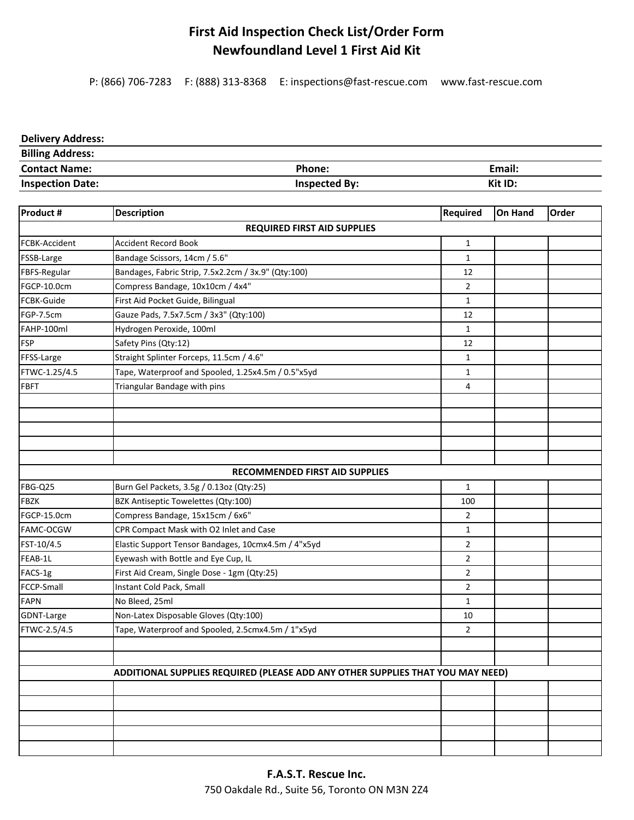## **First Aid Inspection Check List/Order Form Newfoundland Level 1 First Aid Kit**

P: (866) 706‐7283 F: (888) 313‐8368 E: inspections@fast‐rescue.com www.fast‐rescue.com

## **Delivery Address:**

| <b>Billing Address:</b> |               |         |
|-------------------------|---------------|---------|
| <b>Contact Name:</b>    | Phone:        | Email:  |
| <b>Inspection Date:</b> | Inspected By: | Kit ID: |

| Product #            | <b>Description</b>                                                             | Required       | <b>On Hand</b> | Order |
|----------------------|--------------------------------------------------------------------------------|----------------|----------------|-------|
|                      | <b>REQUIRED FIRST AID SUPPLIES</b>                                             |                |                |       |
| <b>FCBK-Accident</b> | <b>Accident Record Book</b>                                                    | $\mathbf{1}$   |                |       |
| FSSB-Large           | Bandage Scissors, 14cm / 5.6"                                                  | $\mathbf{1}$   |                |       |
| FBFS-Regular         | Bandages, Fabric Strip, 7.5x2.2cm / 3x.9" (Qty:100)                            | 12             |                |       |
| FGCP-10.0cm          | Compress Bandage, 10x10cm / 4x4"                                               | $\overline{2}$ |                |       |
| FCBK-Guide           | First Aid Pocket Guide, Bilingual                                              | $\mathbf{1}$   |                |       |
| FGP-7.5cm            | Gauze Pads, 7.5x7.5cm / 3x3" (Qty:100)                                         | 12             |                |       |
| FAHP-100ml           | Hydrogen Peroxide, 100ml                                                       | 1              |                |       |
| <b>FSP</b>           | Safety Pins (Qty:12)                                                           | 12             |                |       |
| FFSS-Large           | Straight Splinter Forceps, 11.5cm / 4.6"                                       | $\mathbf{1}$   |                |       |
| FTWC-1.25/4.5        | Tape, Waterproof and Spooled, 1.25x4.5m / 0.5"x5yd                             | $\mathbf{1}$   |                |       |
| <b>FBFT</b>          | Triangular Bandage with pins                                                   | 4              |                |       |
|                      |                                                                                |                |                |       |
|                      |                                                                                |                |                |       |
|                      |                                                                                |                |                |       |
|                      |                                                                                |                |                |       |
|                      |                                                                                |                |                |       |
|                      | <b>RECOMMENDED FIRST AID SUPPLIES</b>                                          |                |                |       |
| FBG-Q25              | Burn Gel Packets, 3.5g / 0.13oz (Qty:25)                                       | $\mathbf{1}$   |                |       |
| <b>FBZK</b>          | BZK Antiseptic Towelettes (Qty:100)                                            | 100            |                |       |
| FGCP-15.0cm          | Compress Bandage, 15x15cm / 6x6"                                               | $\overline{2}$ |                |       |
| FAMC-OCGW            | CPR Compact Mask with O2 Inlet and Case                                        | $\mathbf{1}$   |                |       |
| FST-10/4.5           | Elastic Support Tensor Bandages, 10cmx4.5m / 4"x5yd                            | $\overline{2}$ |                |       |
| FEAB-1L              | Eyewash with Bottle and Eye Cup, IL                                            | $\overline{2}$ |                |       |
| FACS-1g              | First Aid Cream, Single Dose - 1gm (Qty:25)                                    | $\overline{2}$ |                |       |
| FCCP-Small           | Instant Cold Pack, Small                                                       | $\overline{2}$ |                |       |
| <b>FAPN</b>          | No Bleed, 25ml                                                                 | $\mathbf 1$    |                |       |
| GDNT-Large           | Non-Latex Disposable Gloves (Qty:100)                                          | 10             |                |       |
| FTWC-2.5/4.5         | Tape, Waterproof and Spooled, 2.5cmx4.5m / 1"x5yd                              | $\overline{2}$ |                |       |
|                      |                                                                                |                |                |       |
|                      |                                                                                |                |                |       |
|                      | ADDITIONAL SUPPLIES REQUIRED (PLEASE ADD ANY OTHER SUPPLIES THAT YOU MAY NEED) |                |                |       |
|                      |                                                                                |                |                |       |
|                      |                                                                                |                |                |       |
|                      |                                                                                |                |                |       |
|                      |                                                                                |                |                |       |
|                      |                                                                                |                |                |       |